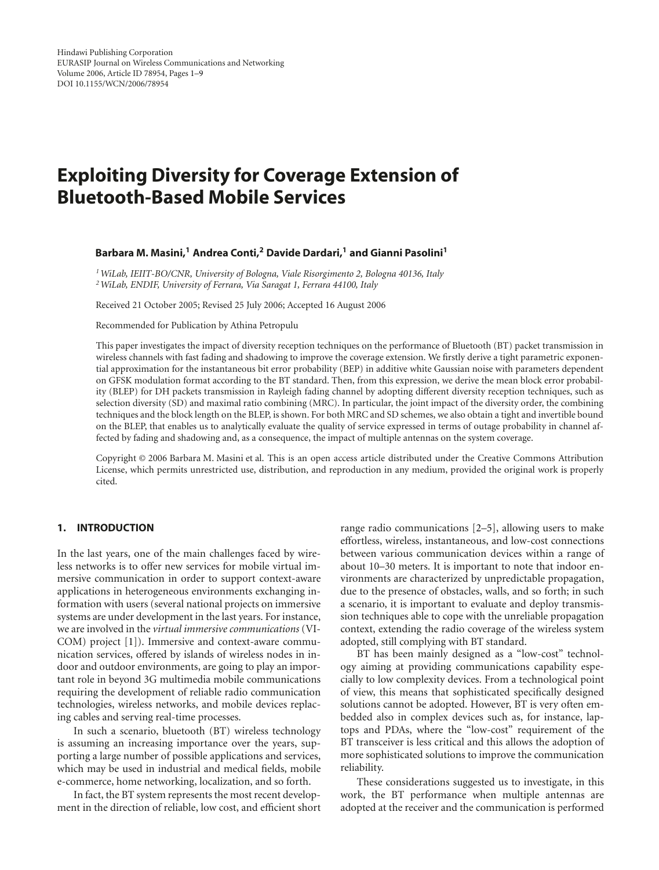# **Exploiting Diversity for Coverage Extension of Bluetooth-Based Mobile Services**

#### **Barbara M. Masini,1 Andrea Conti,2 Davide Dardari,1 and Gianni Pasolini1**

*1WiLab, IEIIT-BO/CNR, University of Bologna, Viale Risorgimento 2, Bologna 40136, Italy 2WiLab, ENDIF, University of Ferrara, Via Saragat 1, Ferrara 44100, Italy*

Received 21 October 2005; Revised 25 July 2006; Accepted 16 August 2006

Recommended for Publication by Athina Petropulu

This paper investigates the impact of diversity reception techniques on the performance of Bluetooth (BT) packet transmission in wireless channels with fast fading and shadowing to improve the coverage extension. We firstly derive a tight parametric exponential approximation for the instantaneous bit error probability (BEP) in additive white Gaussian noise with parameters dependent on GFSK modulation format according to the BT standard. Then, from this expression, we derive the mean block error probability (BLEP) for DH packets transmission in Rayleigh fading channel by adopting different diversity reception techniques, such as selection diversity (SD) and maximal ratio combining (MRC). In particular, the joint impact of the diversity order, the combining techniques and the block length on the BLEP, is shown. For both MRC and SD schemes, we also obtain a tight and invertible bound on the BLEP, that enables us to analytically evaluate the quality of service expressed in terms of outage probability in channel affected by fading and shadowing and, as a consequence, the impact of multiple antennas on the system coverage.

Copyright © 2006 Barbara M. Masini et al. This is an open access article distributed under the Creative Commons Attribution License, which permits unrestricted use, distribution, and reproduction in any medium, provided the original work is properly cited.

#### **1. INTRODUCTION**

In the last years, one of the main challenges faced by wireless networks is to offer new services for mobile virtual immersive communication in order to support context-aware applications in heterogeneous environments exchanging information with users (several national projects on immersive systems are under development in the last years. For instance, we are involved in the *virtual immersive communications* (VI-COM) project [\[1\]](#page-7-1)). Immersive and context-aware communication services, offered by islands of wireless nodes in indoor and outdoor environments, are going to play an important role in beyond 3G multimedia mobile communications requiring the development of reliable radio communication technologies, wireless networks, and mobile devices replacing cables and serving real-time processes.

In such a scenario, bluetooth (BT) wireless technology is assuming an increasing importance over the years, supporting a large number of possible applications and services, which may be used in industrial and medical fields, mobile e-commerce, home networking, localization, and so forth.

In fact, the BT system represents the most recent development in the direction of reliable, low cost, and efficient short range radio communications [\[2](#page-7-2)[–5](#page-7-3)], allowing users to make effortless, wireless, instantaneous, and low-cost connections between various communication devices within a range of about 10–30 meters. It is important to note that indoor environments are characterized by unpredictable propagation, due to the presence of obstacles, walls, and so forth; in such a scenario, it is important to evaluate and deploy transmission techniques able to cope with the unreliable propagation context, extending the radio coverage of the wireless system adopted, still complying with BT standard.

BT has been mainly designed as a "low-cost" technology aiming at providing communications capability especially to low complexity devices. From a technological point of view, this means that sophisticated specifically designed solutions cannot be adopted. However, BT is very often embedded also in complex devices such as, for instance, laptops and PDAs, where the "low-cost" requirement of the BT transceiver is less critical and this allows the adoption of more sophisticated solutions to improve the communication reliability.

These considerations suggested us to investigate, in this work, the BT performance when multiple antennas are adopted at the receiver and the communication is performed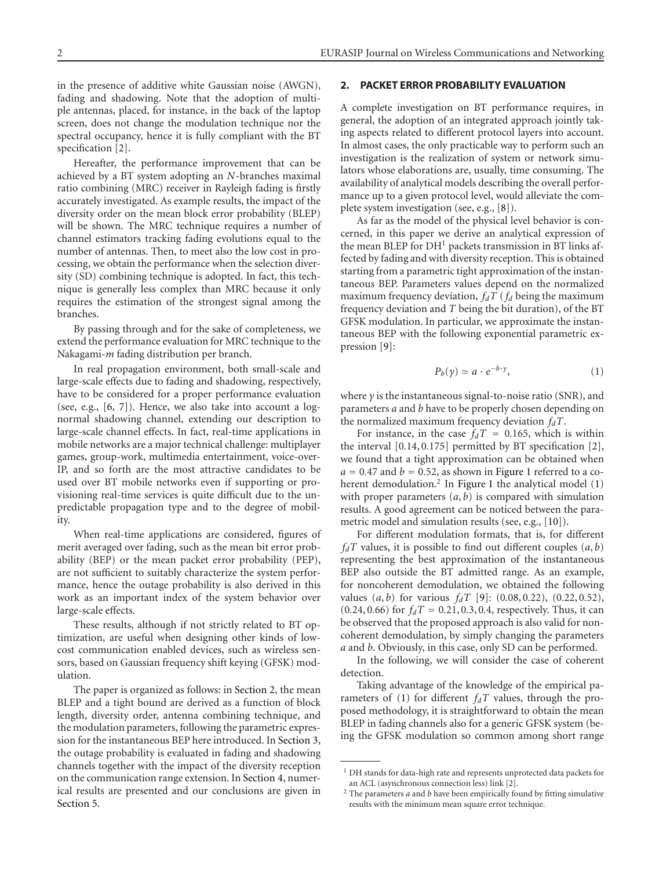in the presence of additive white Gaussian noise (AWGN), fading and shadowing. Note that the adoption of multiple antennas, placed, for instance, in the back of the laptop screen, does not change the modulation technique nor the spectral occupancy, hence it is fully compliant with the BT specification [\[2\]](#page-7-2).

Hereafter, the performance improvement that can be achieved by a BT system adopting an *N*-branches maximal ratio combining (MRC) receiver in Rayleigh fading is firstly accurately investigated. As example results, the impact of the diversity order on the mean block error probability (BLEP) will be shown. The MRC technique requires a number of channel estimators tracking fading evolutions equal to the number of antennas. Then, to meet also the low cost in processing, we obtain the performance when the selection diversity (SD) combining technique is adopted. In fact, this technique is generally less complex than MRC because it only requires the estimation of the strongest signal among the branches.

By passing through and for the sake of completeness, we extend the performance evaluation for MRC technique to the Nakagami-*m* fading distribution per branch.

In real propagation environment, both small-scale and large-scale effects due to fading and shadowing, respectively, have to be considered for a proper performance evaluation (see, e.g., [\[6](#page-7-4), [7](#page-7-5)]). Hence, we also take into account a lognormal shadowing channel, extending our description to large-scale channel effects. In fact, real-time applications in mobile networks are a major technical challenge: multiplayer games, group-work, multimedia entertainment, voice-over-IP, and so forth are the most attractive candidates to be used over BT mobile networks even if supporting or provisioning real-time services is quite difficult due to the unpredictable propagation type and to the degree of mobility.

When real-time applications are considered, figures of merit averaged over fading, such as the mean bit error probability (BEP) or the mean packet error probability (PEP), are not sufficient to suitably characterize the system performance, hence the outage probability is also derived in this work as an important index of the system behavior over large-scale effects.

These results, although if not strictly related to BT optimization, are useful when designing other kinds of lowcost communication enabled devices, such as wireless sensors, based on Gaussian frequency shift keying (GFSK) modulation.

The paper is organized as follows: in [Section 2,](#page-1-0) the mean BLEP and a tight bound are derived as a function of block length, diversity order, antenna combining technique, and the modulation parameters, following the parametric expression for the instantaneous BEP here introduced. In [Section 3,](#page-3-0) the outage probability is evaluated in fading and shadowing channels together with the impact of the diversity reception on the communication range extension. In [Section 4,](#page-4-0) numerical results are presented and our conclusions are given in [Section 5.](#page-6-0)

#### <span id="page-1-0"></span>**2. PACKET ERROR PROBABILITY EVALUATION**

A complete investigation on BT performance requires, in general, the adoption of an integrated approach jointly taking aspects related to different protocol layers into account. In almost cases, the only practicable way to perform such an investigation is the realization of system or network simulators whose elaborations are, usually, time consuming. The availability of analytical models describing the overall performance up to a given protocol level, would alleviate the complete system investigation (see, e.g., [\[8](#page-7-6)]).

As far as the model of the physical level behavior is concerned, in this paper we derive an analytical expression of the mean BLEP for  $DH<sup>1</sup>$  packets transmission in BT links affected by fading and with diversity reception. This is obtained starting from a parametric tight approximation of the instantaneous BEP. Parameters values depend on the normalized maximum frequency deviation,  $f_dT$  ( $f_d$  being the maximum frequency deviation and *T* being the bit duration), of the BT GFSK modulation. In particular, we approximate the instantaneous BEP with the following exponential parametric expression [\[9](#page-7-7)]:

<span id="page-1-1"></span>
$$
P_b(\gamma) \simeq a \cdot e^{-b \cdot \gamma},\tag{1}
$$

where *γ* is the instantaneous signal-to-noise ratio (SNR), and parameters *a* and *b* have to be properly chosen depending on the normalized maximum frequency deviation  $f_dT$ .

For instance, in the case  $f_dT = 0.165$ , which is within the interval [0*.*14, 0*.*175] permitted by BT specification [\[2](#page-7-2)], we found that a tight approximation can be obtained when  $a = 0.47$  and  $b = 0.52$ , as shown in [Figure 1](#page-2-0) referred to a co-herent demodulation.<sup>2</sup> In [Figure 1](#page-2-0) the analytical model  $(1)$ with proper parameters  $(a, b)$  is compared with simulation results. A good agreement can be noticed between the parametric model and simulation results (see, e.g., [\[10\]](#page-7-8)).

For different modulation formats, that is, for different  $f_dT$  values, it is possible to find out different couples  $(a, b)$ representing the best approximation of the instantaneous BEP also outside the BT admitted range. As an example, for noncoherent demodulation, we obtained the following values (*a*, *b*) for various *fdT* [\[9\]](#page-7-7): (0*.*08, 0*.*22), (0*.*22, 0*.*52),  $(0.24, 0.66)$  for  $f_dT = 0.21, 0.3, 0.4$ , respectively. Thus, it can be observed that the proposed approach is also valid for noncoherent demodulation, by simply changing the parameters *a* and *b*. Obviously, in this case, only SD can be performed.

In the following, we will consider the case of coherent detection.

Taking advantage of the knowledge of the empirical pa-rameters of [\(1\)](#page-1-1) for different  $f_dT$  values, through the proposed methodology, it is straightforward to obtain the mean BLEP in fading channels also for a generic GFSK system (being the GFSK modulation so common among short range

<sup>&</sup>lt;sup>1</sup> DH stands for data-high rate and represents unprotected data packets for an ACL (asynchronous connection less) link [\[2](#page-7-2)].

<sup>2</sup> The parameters *a* and *b* have been empirically found by fitting simulative results with the minimum mean square error technique.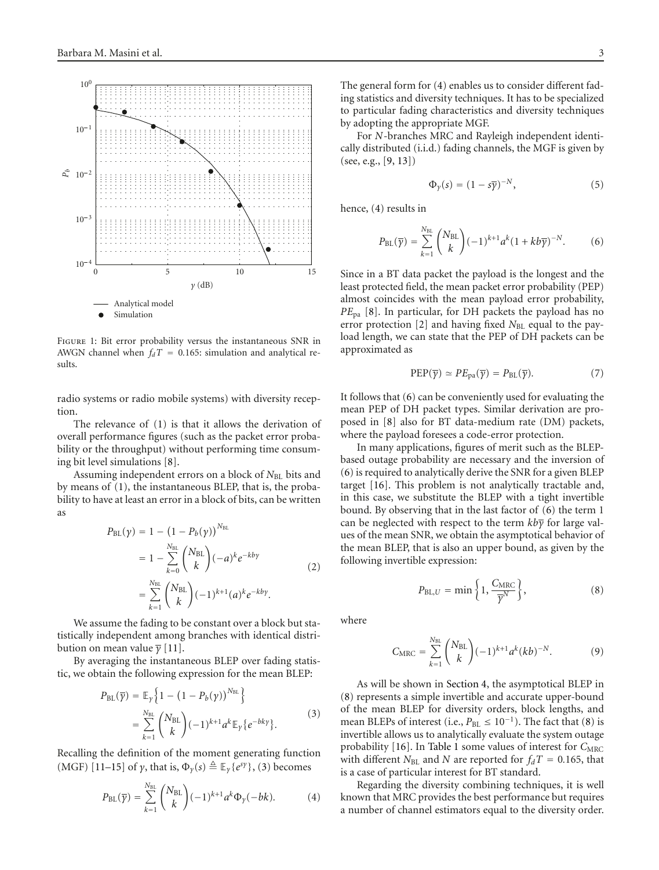

<span id="page-2-0"></span>Figure 1: Bit error probability versus the instantaneous SNR in AWGN channel when  $f_dT = 0.165$ : simulation and analytical results.

radio systems or radio mobile systems) with diversity reception.

The relevance of [\(1\)](#page-1-1) is that it allows the derivation of overall performance figures (such as the packet error probability or the throughput) without performing time consuming bit level simulations [\[8](#page-7-6)].

Assuming independent errors on a block of *N*<sub>BL</sub> bits and by means of [\(1\)](#page-1-1), the instantaneous BLEP, that is, the probability to have at least an error in a block of bits, can be written as

$$
P_{BL}(\gamma) = 1 - (1 - P_b(\gamma))^{N_{BL}} = 1 - \sum_{k=0}^{N_{BL}} {N_{BL} \choose k} (-a)^k e^{-kby} = \sum_{k=1}^{N_{BL}} {N_{BL} \choose k} (-1)^{k+1} (a)^k e^{-kby}.
$$
(2)

We assume the fading to be constant over a block but statistically independent among branches with identical distribution on mean value *γ* [\[11](#page-7-9)].

By averaging the instantaneous BLEP over fading statistic, we obtain the following expression for the mean BLEP:

$$
P_{BL}(\overline{\gamma}) = \mathbb{E}_{\gamma} \left\{ 1 - (1 - P_b(\gamma))^{N_{BL}} \right\}
$$
  
= 
$$
\sum_{k=1}^{N_{BL}} {N_{BL} \choose k} (-1)^{k+1} a^k \mathbb{E}_{\gamma} \left\{ e^{-bk\gamma} \right\}.
$$
 (3)

Recalling the definition of the moment generating function (MGF) [\[11](#page-7-9)[–15\]](#page-7-10) of *γ*, that is,  $\Phi_{\gamma}(s) \triangleq \mathbb{E}_{\gamma}\{e^{s\gamma}\}\,$ , [\(3\)](#page-2-1) becomes

$$
P_{\text{BL}}(\overline{\gamma}) = \sum_{k=1}^{N_{\text{BL}}} \binom{N_{\text{BL}}}{k} (-1)^{k+1} a^k \Phi_{\gamma}(-bk). \tag{4}
$$

The general form for [\(4\)](#page-2-2) enables us to consider different fading statistics and diversity techniques. It has to be specialized to particular fading characteristics and diversity techniques by adopting the appropriate MGF.

For *N*-branches MRC and Rayleigh independent identically distributed (i.i.d.) fading channels, the MGF is given by (see, e.g., [\[9](#page-7-7), [13](#page-7-11)])

<span id="page-2-3"></span>
$$
\Phi_{\gamma}(s) = (1 - s\overline{\gamma})^{-N},\tag{5}
$$

hence, [\(4\)](#page-2-2) results in

$$
P_{\text{BL}}(\overline{\gamma}) = \sum_{k=1}^{N_{\text{BL}}} \binom{N_{\text{BL}}}{k} (-1)^{k+1} a^k (1 + k b \overline{\gamma})^{-N}.
$$
 (6)

Since in a BT data packet the payload is the longest and the least protected field, the mean packet error probability (PEP) almost coincides with the mean payload error probability, *PE*pa [\[8\]](#page-7-6). In particular, for DH packets the payload has no error protection [\[2](#page-7-2)] and having fixed *N*<sub>BL</sub> equal to the payload length, we can state that the PEP of DH packets can be approximated as

<span id="page-2-6"></span>
$$
PEP(\overline{\gamma}) \simeq PE_{pa}(\overline{\gamma}) = P_{BL}(\overline{\gamma}). \tag{7}
$$

It follows that [\(6\)](#page-2-3) can be conveniently used for evaluating the mean PEP of DH packet types. Similar derivation are proposed in [\[8](#page-7-6)] also for BT data-medium rate (DM) packets, where the payload foresees a code-error protection.

In many applications, figures of merit such as the BLEPbased outage probability are necessary and the inversion of [\(6\)](#page-2-3) is required to analytically derive the SNR for a given BLEP target [\[16\]](#page-7-12). This problem is not analytically tractable and, in this case, we substitute the BLEP with a tight invertible bound. By observing that in the last factor of [\(6\)](#page-2-3) the term 1 can be neglected with respect to the term *kbγ* for large values of the mean SNR, we obtain the asymptotical behavior of the mean BLEP, that is also an upper bound, as given by the following invertible expression:

<span id="page-2-5"></span><span id="page-2-4"></span>
$$
P_{\text{BL},U} = \min\left\{1, \frac{C_{\text{MRC}}}{\overline{\gamma}^N}\right\},\tag{8}
$$

where

$$
C_{\text{MRC}} = \sum_{k=1}^{N_{\text{BL}}} \binom{N_{\text{BL}}}{k} (-1)^{k+1} a^k (kb)^{-N}.
$$
 (9)

<span id="page-2-1"></span>As will be shown in [Section 4,](#page-4-0) the asymptotical BLEP in [\(8\)](#page-2-4) represents a simple invertible and accurate upper-bound of the mean BLEP for diversity orders, block lengths, and mean BLEPs of interest (i.e.,  $P_{BL} \leq 10^{-1}$ ). The fact that [\(8\)](#page-2-4) is invertible allows us to analytically evaluate the system outage probability [\[16\]](#page-7-12). In [Table 1](#page-3-1) some values of interest for  $C_{\text{MRC}}$ with different  $N_{BL}$  and  $N$  are reported for  $f_dT = 0.165$ , that is a case of particular interest for BT standard.

<span id="page-2-2"></span>Regarding the diversity combining techniques, it is well known that MRC provides the best performance but requires a number of channel estimators equal to the diversity order.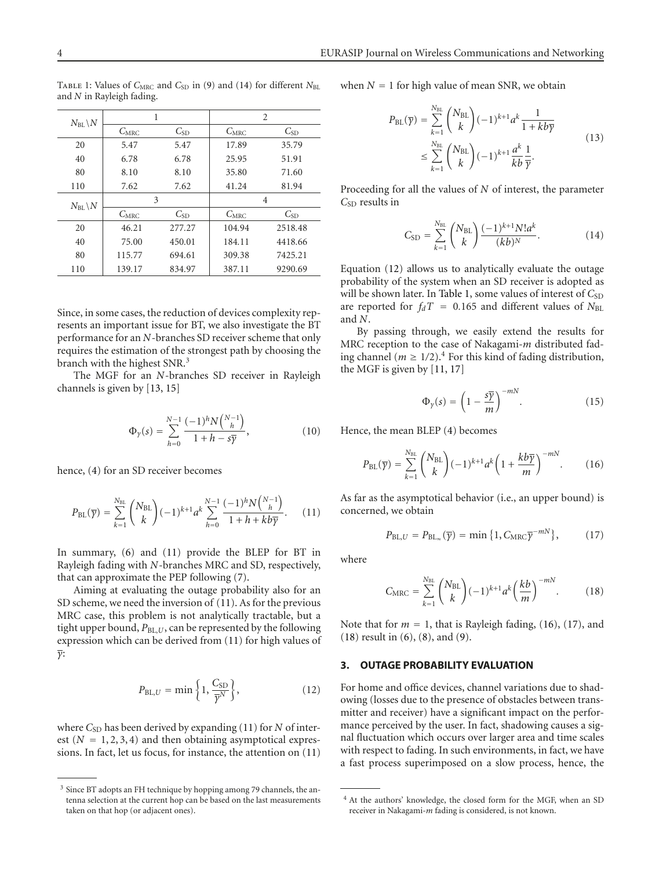| $N_{\rm BL} \backslash N$ | 1                |          | 2                |          |
|---------------------------|------------------|----------|------------------|----------|
|                           | $C_{\text{MRC}}$ | $C_{SD}$ | $C_{\text{MRC}}$ | $C_{SD}$ |
| 20                        | 5.47             | 5.47     | 17.89            | 35.79    |
| 40                        | 6.78             | 6.78     | 25.95            | 51.91    |
| 80                        | 8.10             | 8.10     | 35.80            | 71.60    |
| 110                       | 7.62             | 7.62     | 41.24            | 81.94    |
| $N_{\rm BL} \backslash N$ | 3                |          | 4                |          |
|                           | $C_{\text{MRC}}$ | $C_{SD}$ | $C_{\text{MRC}}$ | $C_{SD}$ |
| 20                        | 46.21            | 277.27   | 104.94           | 2518.48  |
| 40                        | 75.00            | 450.01   | 184.11           | 4418.66  |
| 80                        | 115.77           | 694.61   | 309.38           | 7425.21  |
| 110                       | 139.17           | 834.97   | 387.11           | 9290.69  |

<span id="page-3-1"></span>TABLE 1: Values of  $C_{\text{MRC}}$  and  $C_{\text{SD}}$  in [\(9\)](#page-2-5) and [\(14\)](#page-3-2) for different  $N_{\text{BL}}$ and *N* in Rayleigh fading.

Since, in some cases, the reduction of devices complexity represents an important issue for BT, we also investigate the BT performance for an *N*-branches SD receiver scheme that only requires the estimation of the strongest path by choosing the branch with the highest SNR.<sup>3</sup>

The MGF for an *N*-branches SD receiver in Rayleigh channels is given by [\[13](#page-7-11), [15](#page-7-10)]

$$
\Phi_{\gamma}(s) = \sum_{h=0}^{N-1} \frac{(-1)^h N {N-1 \choose h}}{1+h - s\overline{\gamma}}, \qquad (10)
$$

hence, [\(4\)](#page-2-2) for an SD receiver becomes

$$
P_{\rm BL}(\overline{\gamma}) = \sum_{k=1}^{N_{\rm BL}} \binom{N_{\rm BL}}{k} (-1)^{k+1} a^k \sum_{h=0}^{N-1} \frac{(-1)^h N \binom{N-1}{h}}{1+h+k b \overline{\gamma}}.
$$
 (11)

In summary, [\(6\)](#page-2-3) and [\(11\)](#page-3-3) provide the BLEP for BT in Rayleigh fading with *N*-branches MRC and SD, respectively, that can approximate the PEP following [\(7\)](#page-2-6).

Aiming at evaluating the outage probability also for an SD scheme, we need the inversion of [\(11\)](#page-3-3). As for the previous MRC case, this problem is not analytically tractable, but a tight upper bound,  $P_{BL,U}$ , can be represented by the following expression which can be derived from [\(11\)](#page-3-3) for high values of *γ*:

<span id="page-3-4"></span>
$$
P_{\text{BL},U} = \min\left\{1, \frac{C_{\text{SD}}}{\overline{\gamma}^N}\right\},\tag{12}
$$

where *C*<sub>SD</sub> has been derived by expanding [\(11\)](#page-3-3) for *N* of interest  $(N = 1, 2, 3, 4)$  and then obtaining asymptotical expressions. In fact, let us focus, for instance, the attention on [\(11\)](#page-3-3) when  $N = 1$  for high value of mean SNR, we obtain

$$
P_{\text{BL}}(\overline{\gamma}) = \sum_{k=1}^{N_{\text{BL}}} \binom{N_{\text{BL}}}{k} (-1)^{k+1} a^k \frac{1}{1 + k b \overline{\gamma}}
$$
  

$$
\leq \sum_{k=1}^{N_{\text{BL}}} \binom{N_{\text{BL}}}{k} (-1)^{k+1} \frac{a^k}{k b} \frac{1}{\overline{\gamma}}.
$$
 (13)

Proceeding for all the values of *N* of interest, the parameter *C*SD results in

<span id="page-3-2"></span>
$$
C_{\rm SD} = \sum_{k=1}^{N_{\rm BL}} \binom{N_{\rm BL}}{k} \frac{(-1)^{k+1} N! a^k}{(kb)^N}.
$$
 (14)

Equation [\(12\)](#page-3-4) allows us to analytically evaluate the outage probability of the system when an SD receiver is adopted as will be shown later. In [Table 1,](#page-3-1) some values of interest of C<sub>SD</sub> are reported for  $f_dT = 0.165$  and different values of  $N_{BL}$ and *N*.

By passing through, we easily extend the results for MRC reception to the case of Nakagami-*m* distributed fading channel ( $m \ge 1/2$ ).<sup>4</sup> For this kind of fading distribution, the MGF is given by [\[11](#page-7-9), [17\]](#page-7-13)

<span id="page-3-5"></span>
$$
\Phi_{\gamma}(s) = \left(1 - \frac{s\overline{\gamma}}{m}\right)^{-mN}.\tag{15}
$$

Hence, the mean BLEP [\(4\)](#page-2-2) becomes

$$
P_{\rm BL}(\overline{\gamma}) = \sum_{k=1}^{N_{\rm BL}} \binom{N_{\rm BL}}{k} (-1)^{k+1} a^k \left(1 + \frac{k b \overline{\gamma}}{m}\right)^{-mN}.
$$
 (16)

<span id="page-3-3"></span>As far as the asymptotical behavior (i.e., an upper bound) is concerned, we obtain

<span id="page-3-6"></span>
$$
P_{\mathrm{BL},U} = P_{\mathrm{BL}_{\infty}}(\overline{\gamma}) = \min\left\{1, C_{\mathrm{MRC}}\overline{\gamma}^{-mN}\right\},\tag{17}
$$

where

<span id="page-3-7"></span>
$$
C_{\text{MRC}} = \sum_{k=1}^{N_{\text{BL}}} {N_{\text{BL}} \choose k} (-1)^{k+1} a^k \left(\frac{kb}{m}\right)^{-mN}.
$$
 (18)

Note that for  $m = 1$ , that is Rayleigh fading, [\(16\)](#page-3-5), [\(17\)](#page-3-6), and [\(18\)](#page-3-7) result in [\(6\)](#page-2-3), [\(8\)](#page-2-4), and [\(9\)](#page-2-5).

## <span id="page-3-0"></span>**3. OUTAGE PROBABILITY EVALUATION**

For home and office devices, channel variations due to shadowing (losses due to the presence of obstacles between transmitter and receiver) have a significant impact on the performance perceived by the user. In fact, shadowing causes a signal fluctuation which occurs over larger area and time scales with respect to fading. In such environments, in fact, we have a fast process superimposed on a slow process, hence, the

<sup>&</sup>lt;sup>3</sup> Since BT adopts an FH technique by hopping among 79 channels, the antenna selection at the current hop can be based on the last measurements taken on that hop (or adjacent ones).

<sup>4</sup> At the authors' knowledge, the closed form for the MGF, when an SD receiver in Nakagami-*m* fading is considered, is not known.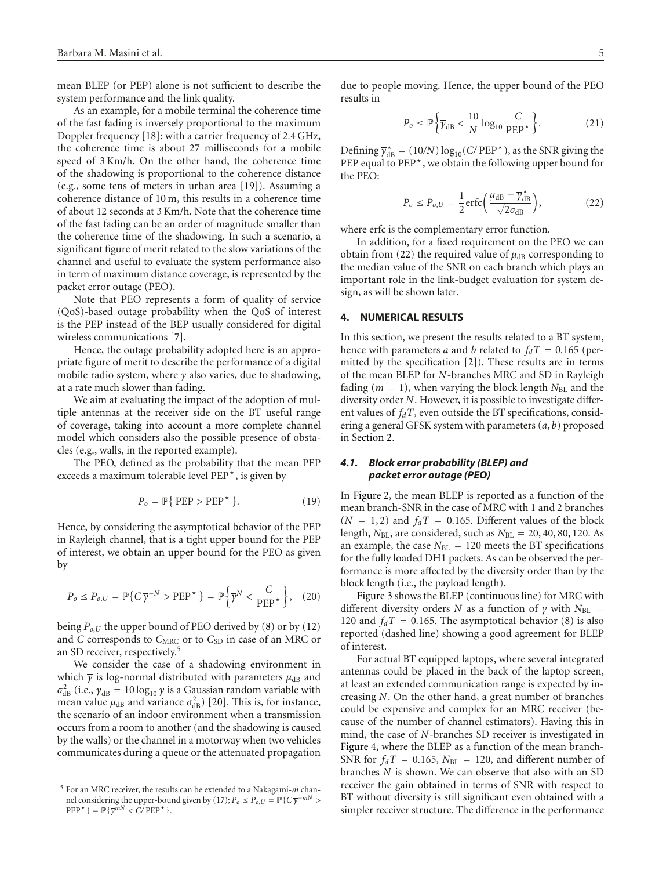mean BLEP (or PEP) alone is not sufficient to describe the system performance and the link quality.

As an example, for a mobile terminal the coherence time of the fast fading is inversely proportional to the maximum Doppler frequency [\[18](#page-7-14)]: with a carrier frequency of 2*.*4 GHz, the coherence time is about 27 milliseconds for a mobile speed of 3 Km/h. On the other hand, the coherence time of the shadowing is proportional to the coherence distance (e.g., some tens of meters in urban area [\[19\]](#page-7-15)). Assuming a coherence distance of 10 m, this results in a coherence time of about 12 seconds at 3 Km/h. Note that the coherence time of the fast fading can be an order of magnitude smaller than the coherence time of the shadowing. In such a scenario, a significant figure of merit related to the slow variations of the channel and useful to evaluate the system performance also in term of maximum distance coverage, is represented by the packet error outage (PEO).

Note that PEO represents a form of quality of service (QoS)-based outage probability when the QoS of interest is the PEP instead of the BEP usually considered for digital wireless communications [\[7\]](#page-7-5).

Hence, the outage probability adopted here is an appropriate figure of merit to describe the performance of a digital mobile radio system, where *γ* also varies, due to shadowing, at a rate much slower than fading.

We aim at evaluating the impact of the adoption of multiple antennas at the receiver side on the BT useful range of coverage, taking into account a more complete channel model which considers also the possible presence of obstacles (e.g., walls, in the reported example).

The PEO, defined as the probability that the mean PEP exceeds a maximum tolerable level PEP*-*, is given by

$$
P_o = \mathbb{P}\{ \text{PEP} > \text{PEP}^{\star} \}.
$$
 (19)

Hence, by considering the asymptotical behavior of the PEP in Rayleigh channel, that is a tight upper bound for the PEP of interest, we obtain an upper bound for the PEO as given by

$$
P_o \le P_{o,U} = \mathbb{P}\{C\overline{\gamma}^{-N} > \text{PEP}^{\star}\} = \mathbb{P}\left\{\overline{\gamma}^N < \frac{C}{\text{PEP}^{\star}}\right\},\tag{20}
$$

being  $P_{o,U}$  the upper bound of PEO derived by [\(8\)](#page-2-4) or by [\(12\)](#page-3-4) and *C* corresponds to *C<sub>MRC</sub>* or to *C<sub>SD</sub>* in case of an MRC or an SD receiver, respectively.<sup>5</sup>

We consider the case of a shadowing environment in which  $\bar{y}$  is log-normal distributed with parameters  $\mu_{dB}$  and  $\sigma_{\text{dB}}^2$  (i.e.,  $\overline{y}_{\text{dB}} = 10 \log_{10} \overline{y}$  is a Gaussian random variable with mean value  $\mu_{dB}$  and variance  $\sigma_{dB}^2$ ) [\[20\]](#page-7-16). This is, for instance, the scenario of an indoor environment when a transmission occurs from a room to another (and the shadowing is caused by the walls) or the channel in a motorway when two vehicles communicates during a queue or the attenuated propagation

due to people moving. Hence, the upper bound of the PEO results in

$$
P_o \le \mathbb{P}\bigg\{\overline{\gamma}_{\text{dB}} < \frac{10}{N}\log_{10}\frac{C}{\text{PEP}^{\star}}\bigg\}.\tag{21}
$$

Defining  $\overline{y}_{dB}^{\star} = (10/N) \log_{10}(C/PEP^{\star})$ , as the SNR giving the PEP equal to PEP<sup>\*</sup>, we obtain the following upper bound for the PEO:

<span id="page-4-1"></span>
$$
P_o \le P_{o,U} = \frac{1}{2} \text{erfc}\left(\frac{\mu_{\text{dB}} - \overline{\gamma}_{\text{dB}}^*}{\sqrt{2}\sigma_{\text{dB}}}\right),\tag{22}
$$

where erfc is the complementary error function.

In addition, for a fixed requirement on the PEO we can obtain from [\(22\)](#page-4-1) the required value of  $\mu_{dB}$  corresponding to the median value of the SNR on each branch which plays an important role in the link-budget evaluation for system design, as will be shown later.

#### <span id="page-4-0"></span>**4. NUMERICAL RESULTS**

In this section, we present the results related to a BT system, hence with parameters *a* and *b* related to  $f_dT = 0.165$  (permitted by the specification [\[2](#page-7-2)]). These results are in terms of the mean BLEP for *N*-branches MRC and SD in Rayleigh fading ( $m = 1$ ), when varying the block length  $N_{BL}$  and the diversity order *N*. However, it is possible to investigate different values of  $f_dT$ , even outside the BT specifications, considering a general GFSK system with parameters (*a*, *b*) proposed in [Section 2.](#page-1-0)

### *4.1. Block error probability (BLEP) and packet error outage (PEO)*

In [Figure 2,](#page-5-0) the mean BLEP is reported as a function of the mean branch-SNR in the case of MRC with 1 and 2 branches  $(N = 1, 2)$  and  $f_dT = 0.165$ . Different values of the block length,  $N_{BL}$ , are considered, such as  $N_{BL} = 20, 40, 80, 120$ . As an example, the case  $N_{BL} = 120$  meets the BT specifications for the fully loaded DH1 packets. As can be observed the performance is more affected by the diversity order than by the block length (i.e., the payload length).

[Figure 3](#page-5-1) shows the BLEP (continuous line) for MRC with different diversity orders *N* as a function of  $\overline{\gamma}$  with  $N_{BL}$  = 120 and  $f_dT = 0.165$ . The asymptotical behavior [\(8\)](#page-2-4) is also reported (dashed line) showing a good agreement for BLEP of interest.

For actual BT equipped laptops, where several integrated antennas could be placed in the back of the laptop screen, at least an extended communication range is expected by increasing *N*. On the other hand, a great number of branches could be expensive and complex for an MRC receiver (because of the number of channel estimators). Having this in mind, the case of *N*-branches SD receiver is investigated in [Figure 4,](#page-5-2) where the BLEP as a function of the mean branch-SNR for  $f_dT = 0.165$ ,  $N_{BL} = 120$ , and different number of branches *N* is shown. We can observe that also with an SD receiver the gain obtained in terms of SNR with respect to BT without diversity is still significant even obtained with a simpler receiver structure. The difference in the performance

<sup>5</sup> For an MRC receiver, the results can be extended to a Nakagami-*m* chan-nel considering the upper-bound given by [\(17\)](#page-3-6);  $P_o \leq P_{o,U} = \mathbb{P}\{C\overline{\gamma}^{-mN} >$  $PEP^{\star}$  } =  $\mathbb{P}\{\overline{\gamma}^{mN} < C/PEP^{\star}\}.$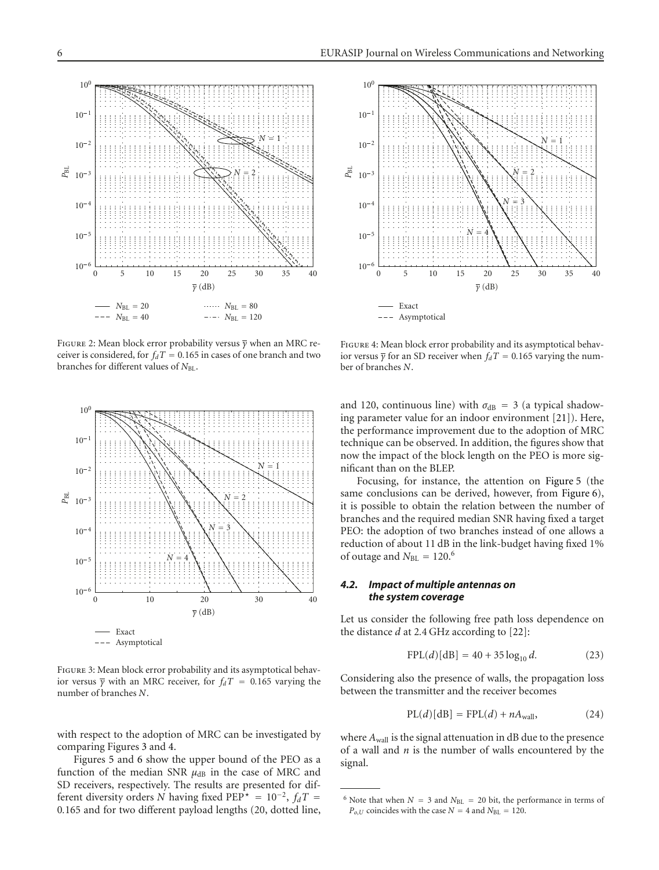

<span id="page-5-0"></span>Figure 2: Mean block error probability versus *γ* when an MRC receiver is considered, for  $f_dT = 0.165$  in cases of one branch and two branches for different values of *N*<sub>BL</sub>.



<span id="page-5-1"></span>FIGURE 3: Mean block error probability and its asymptotical behavior versus  $\bar{y}$  with an MRC receiver, for  $f_dT = 0.165$  varying the number of branches *N*.

with respect to the adoption of MRC can be investigated by comparing Figures [3](#page-5-1) and [4.](#page-5-2)

Figures [5](#page-6-1) and [6](#page-6-2) show the upper bound of the PEO as a function of the median SNR  $\mu_{dB}$  in the case of MRC and SD receivers, respectively. The results are presented for different diversity orders *N* having fixed PEP<sup> $\star$ </sup> = 10<sup>-2</sup>,  $f_dT$  = 0*.*165 and for two different payload lengths (20, dotted line,



<span id="page-5-2"></span>Figure 4: Mean block error probability and its asymptotical behavior versus  $\overline{\gamma}$  for an SD receiver when  $f_dT = 0.165$  varying the number of branches *N*.

and 120, continuous line) with  $\sigma_{dB} = 3$  (a typical shadowing parameter value for an indoor environment [\[21](#page-7-17)]). Here, the performance improvement due to the adoption of MRC technique can be observed. In addition, the figures show that now the impact of the block length on the PEO is more significant than on the BLEP.

Focusing, for instance, the attention on [Figure 5](#page-6-1) (the same conclusions can be derived, however, from [Figure 6\)](#page-6-2), it is possible to obtain the relation between the number of branches and the required median SNR having fixed a target PEO: the adoption of two branches instead of one allows a reduction of about 11 dB in the link-budget having fixed 1% of outage and  $N_{BL} = 120$ .<sup>6</sup>

# *4.2. Impact of multiple antennas on the system coverage*

Let us consider the following free path loss dependence on the distance *d* at 2*.*4 GHz according to [\[22\]](#page-7-18):

$$
FPL(d)[dB] = 40 + 35 \log_{10} d. \tag{23}
$$

Considering also the presence of walls, the propagation loss between the transmitter and the receiver becomes

$$
PL(d)[dB] = FPL(d) + nAwall, \t(24)
$$

where  $A_{wall}$  is the signal attenuation in dB due to the presence of a wall and *n* is the number of walls encountered by the signal.

<sup>&</sup>lt;sup>6</sup> Note that when  $N = 3$  and  $N_{BL} = 20$  bit, the performance in terms of  $P_{o,U}$  coincides with the case  $N = 4$  and  $N_{BL} = 120$ .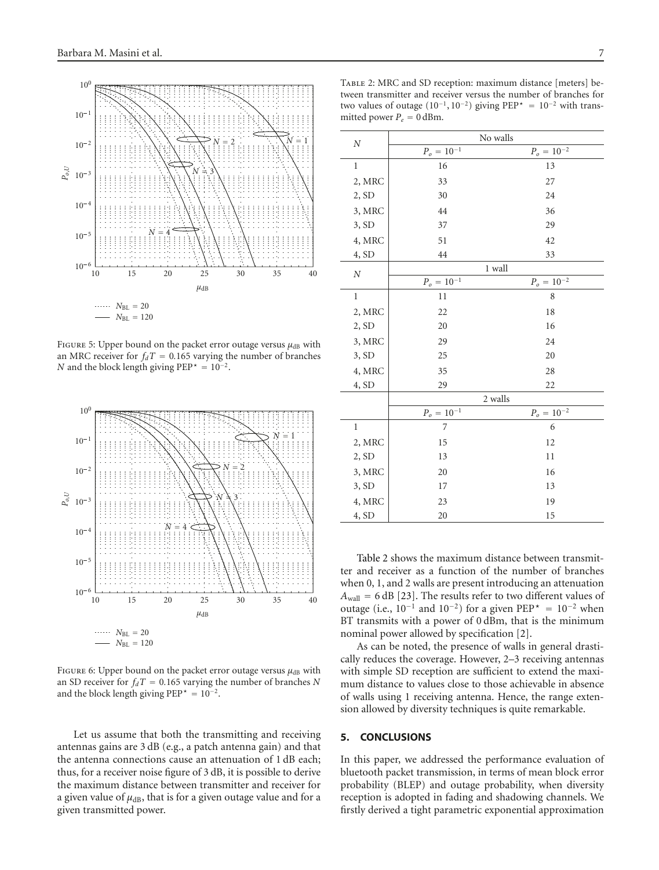

<span id="page-6-1"></span>FIGURE 5: Upper bound on the packet error outage versus  $\mu_{dB}$  with an MRC receiver for  $f_dT = 0.165$  varying the number of branches *N* and the block length giving PEP<sup> $\star$ </sup> = 10<sup>-2</sup>.



<span id="page-6-2"></span>FIGURE 6: Upper bound on the packet error outage versus  $μ_{dB}$  with an SD receiver for  $f_dT = 0.165$  varying the number of branches *N* and the block length giving  $PEP^* = 10^{-2}$ .

Let us assume that both the transmitting and receiving antennas gains are 3 dB (e.g., a patch antenna gain) and that the antenna connections cause an attenuation of 1 dB each; thus, for a receiver noise figure of 3 dB, it is possible to derive the maximum distance between transmitter and receiver for a given value of  $\mu$ <sub>dB</sub>, that is for a given outage value and for a given transmitted power.

<span id="page-6-3"></span>Table 2: MRC and SD reception: maximum distance [meters] between transmitter and receiver versus the number of branches for two values of outage (10−1, 10−2) giving PEP*-* <sup>=</sup> 10−<sup>2</sup> with transmitted power  $P_e = 0$  dBm.

| N            | No walls        |                 |  |  |
|--------------|-----------------|-----------------|--|--|
|              | $P_o = 10^{-1}$ | $P_o = 10^{-2}$ |  |  |
| $\mathbf{1}$ | 16              | 13              |  |  |
| 2, MRC       | 33              | 27              |  |  |
| 2, SD        | 30              | 24              |  |  |
| 3, MRC       | 44              | 36              |  |  |
| 3, SD        | 37              | 29              |  |  |
| 4, MRC       | 51              | 42              |  |  |
| 4, SD        | 44              | 33              |  |  |
| $\cal N$     | 1 wall          |                 |  |  |
|              | $P_o = 10^{-1}$ | $P_o = 10^{-2}$ |  |  |
| $\mathbf{1}$ | 11              | 8               |  |  |
| 2, MRC       | 22              | 18              |  |  |
| 2, SD        | 20              | 16              |  |  |
| 3, MRC       | 29              | 24              |  |  |
| 3, SD        | 25              | 20              |  |  |
| 4, MRC       | 35              | 28              |  |  |
| 4, SD        | 29              | 22              |  |  |
|              | 2 walls         |                 |  |  |
|              | $P_o=10^{-1}$   | $P_o = 10^{-2}$ |  |  |
| $\mathbf{1}$ | 7               | 6               |  |  |
| 2, MRC       | 15              | 12              |  |  |
| 2, SD        | 13              | 11              |  |  |
| 3, MRC       | 20              | 16              |  |  |
| 3, SD        | 17              | 13              |  |  |
| 4, MRC       | 23              | 19              |  |  |
| 4, SD        | 20              | 15              |  |  |

[Table 2](#page-6-3) shows the maximum distance between transmitter and receiver as a function of the number of branches when 0, 1, and 2 walls are present introducing an attenuation  $A_{\text{wall}} = 6$  dB [\[23\]](#page-7-19). The results refer to two different values of outage (i.e.,  $10^{-1}$  and  $10^{-2}$ ) for a given PEP<sup>\*</sup> =  $10^{-2}$  when BT transmits with a power of 0 dBm, that is the minimum nominal power allowed by specification [\[2\]](#page-7-2).

As can be noted, the presence of walls in general drastically reduces the coverage. However, 2–3 receiving antennas with simple SD reception are sufficient to extend the maximum distance to values close to those achievable in absence of walls using 1 receiving antenna. Hence, the range extension allowed by diversity techniques is quite remarkable.

# <span id="page-6-0"></span>**5. CONCLUSIONS**

In this paper, we addressed the performance evaluation of bluetooth packet transmission, in terms of mean block error probability (BLEP) and outage probability, when diversity reception is adopted in fading and shadowing channels. We firstly derived a tight parametric exponential approximation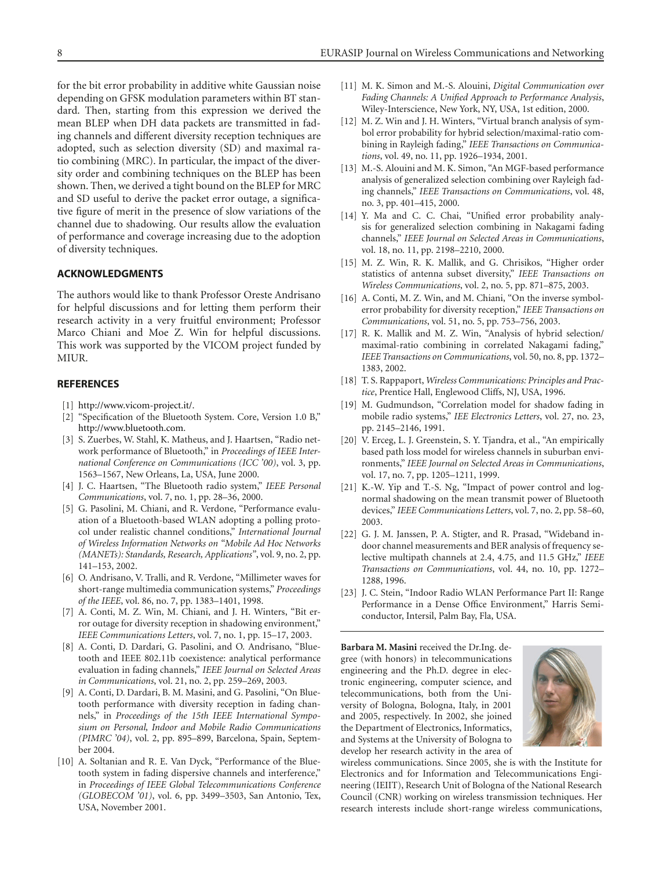for the bit error probability in additive white Gaussian noise depending on GFSK modulation parameters within BT standard. Then, starting from this expression we derived the mean BLEP when DH data packets are transmitted in fading channels and different diversity reception techniques are adopted, such as selection diversity (SD) and maximal ratio combining (MRC). In particular, the impact of the diversity order and combining techniques on the BLEP has been shown. Then, we derived a tight bound on the BLEP for MRC and SD useful to derive the packet error outage, a significative figure of merit in the presence of slow variations of the channel due to shadowing. Our results allow the evaluation of performance and coverage increasing due to the adoption of diversity techniques.

# **ACKNOWLEDGMENTS**

The authors would like to thank Professor Oreste Andrisano for helpful discussions and for letting them perform their research activity in a very fruitful environment; Professor Marco Chiani and Moe Z. Win for helpful discussions. This work was supported by the VICOM project funded by MIUR.

#### <span id="page-7-1"></span><span id="page-7-0"></span>**REFERENCES**

- [1] [http://www.vicom-project.it/.](http://www.vicom-project.it/)
- <span id="page-7-2"></span>[2] "Specification of the Bluetooth System. Core, Version 1.0 B," [http://www.bluetooth.com.](http://www.bluetooth.com)
- [3] S. Zuerbes, W. Stahl, K. Matheus, and J. Haartsen, "Radio network performance of Bluetooth," in *Proceedings of IEEE International Conference on Communications (ICC '00)*, vol. 3, pp. 1563–1567, New Orleans, La, USA, June 2000.
- [4] J. C. Haartsen, "The Bluetooth radio system," *IEEE Personal Communications*, vol. 7, no. 1, pp. 28–36, 2000.
- <span id="page-7-3"></span>[5] G. Pasolini, M. Chiani, and R. Verdone, "Performance evaluation of a Bluetooth-based WLAN adopting a polling protocol under realistic channel conditions," *International Journal of Wireless Information Networks on "Mobile Ad Hoc Networks (MANETs): Standards, Research, Applications"*, vol. 9, no. 2, pp. 141–153, 2002.
- <span id="page-7-4"></span>[6] O. Andrisano, V. Tralli, and R. Verdone, "Millimeter waves for short-range multimedia communication systems," *Proceedings of the IEEE*, vol. 86, no. 7, pp. 1383–1401, 1998.
- <span id="page-7-5"></span>[7] A. Conti, M. Z. Win, M. Chiani, and J. H. Winters, "Bit error outage for diversity reception in shadowing environment," *IEEE Communications Letters*, vol. 7, no. 1, pp. 15–17, 2003.
- <span id="page-7-6"></span>[8] A. Conti, D. Dardari, G. Pasolini, and O. Andrisano, "Bluetooth and IEEE 802.11b coexistence: analytical performance evaluation in fading channels," *IEEE Journal on Selected Areas in Communications*, vol. 21, no. 2, pp. 259–269, 2003.
- <span id="page-7-7"></span>[9] A. Conti, D. Dardari, B. M. Masini, and G. Pasolini, "On Bluetooth performance with diversity reception in fading channels," in *Proceedings of the 15th IEEE International Symposium on Personal, Indoor and Mobile Radio Communications (PIMRC '04)*, vol. 2, pp. 895–899, Barcelona, Spain, September 2004.
- <span id="page-7-8"></span>[10] A. Soltanian and R. E. Van Dyck, "Performance of the Bluetooth system in fading dispersive channels and interference," in *Proceedings of IEEE Global Telecommunications Conference (GLOBECOM '01)*, vol. 6, pp. 3499–3503, San Antonio, Tex, USA, November 2001.
- <span id="page-7-9"></span>[11] M. K. Simon and M.-S. Alouini, *Digital Communication over Fading Channels: A Unified Approach to Performance Analysis*, Wiley-Interscience, New York, NY, USA, 1st edition, 2000.
- [12] M. Z. Win and J. H. Winters, "Virtual branch analysis of symbol error probability for hybrid selection/maximal-ratio combining in Rayleigh fading," *IEEE Transactions on Communications*, vol. 49, no. 11, pp. 1926–1934, 2001.
- <span id="page-7-11"></span>[13] M.-S. Alouini and M. K. Simon, "An MGF-based performance analysis of generalized selection combining over Rayleigh fading channels," *IEEE Transactions on Communications*, vol. 48, no. 3, pp. 401–415, 2000.
- [14] Y. Ma and C. C. Chai, "Unified error probability analysis for generalized selection combining in Nakagami fading channels," *IEEE Journal on Selected Areas in Communications*, vol. 18, no. 11, pp. 2198–2210, 2000.
- <span id="page-7-10"></span>[15] M. Z. Win, R. K. Mallik, and G. Chrisikos, "Higher order statistics of antenna subset diversity," *IEEE Transactions on Wireless Communications*, vol. 2, no. 5, pp. 871–875, 2003.
- <span id="page-7-12"></span>[16] A. Conti, M. Z. Win, and M. Chiani, "On the inverse symbolerror probability for diversity reception," *IEEE Transactions on Communications*, vol. 51, no. 5, pp. 753–756, 2003.
- <span id="page-7-13"></span>[17] R. K. Mallik and M. Z. Win, "Analysis of hybrid selection/ maximal-ratio combining in correlated Nakagami fading," *IEEE Transactions on Communications*, vol. 50, no. 8, pp. 1372– 1383, 2002.
- <span id="page-7-14"></span>[18] T. S. Rappaport, *Wireless Communications: Principles and Practice*, Prentice Hall, Englewood Cliffs, NJ, USA, 1996.
- <span id="page-7-15"></span>[19] M. Gudmundson, "Correlation model for shadow fading in mobile radio systems," *IEE Electronics Letters*, vol. 27, no. 23, pp. 2145–2146, 1991.
- <span id="page-7-16"></span>[20] V. Erceg, L. J. Greenstein, S. Y. Tjandra, et al., "An empirically based path loss model for wireless channels in suburban environments," *IEEE Journal on Selected Areas in Communications*, vol. 17, no. 7, pp. 1205–1211, 1999.
- <span id="page-7-17"></span>[21] K.-W. Yip and T.-S. Ng, "Impact of power control and lognormal shadowing on the mean transmit power of Bluetooth devices," *IEEE Communications Letters*, vol. 7, no. 2, pp. 58–60, 2003.
- <span id="page-7-18"></span>[22] G. J. M. Janssen, P. A. Stigter, and R. Prasad, "Wideband indoor channel measurements and BER analysis of frequency selective multipath channels at 2.4, 4.75, and 11.5 GHz," *IEEE Transactions on Communications*, vol. 44, no. 10, pp. 1272– 1288, 1996.
- <span id="page-7-19"></span>[23] J. C. Stein, "Indoor Radio WLAN Performance Part II: Range Performance in a Dense Office Environment," Harris Semiconductor, Intersil, Palm Bay, Fla, USA.

**Barbara M. Masini** received the Dr.Ing. degree (with honors) in telecommunications engineering and the Ph.D. degree in electronic engineering, computer science, and telecommunications, both from the University of Bologna, Bologna, Italy, in 2001 and 2005, respectively. In 2002, she joined the Department of Electronics, Informatics, and Systems at the University of Bologna to develop her research activity in the area of



wireless communications. Since 2005, she is with the Institute for Electronics and for Information and Telecommunications Engineering (IEIIT), Research Unit of Bologna of the National Research Council (CNR) working on wireless transmission techniques. Her research interests include short-range wireless communications,